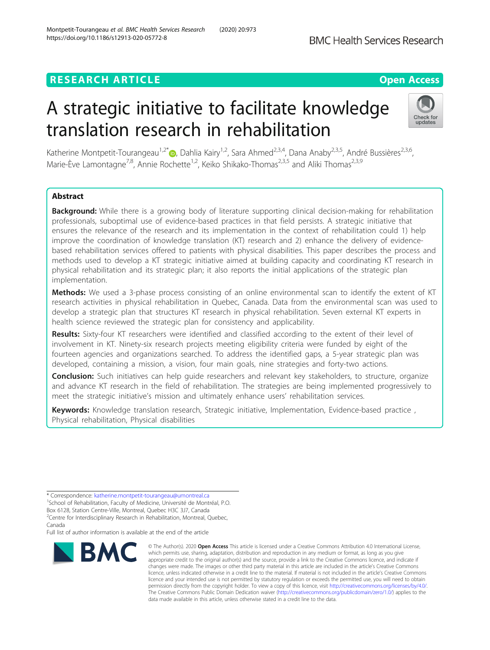# **RESEARCH ARTICLE Example 2014 12:30 The Contract of Contract ACCESS**

# A strategic initiative to facilitate knowledge translation research in rehabilitation

Katherine Montpetit-Tourangeau<sup>1,2[\\*](http://orcid.org/0000-0002-1952-706X)</sup> <sub>D</sub>. Dahlia Kairy<sup>1,2</sup>, Sara Ahmed<sup>2,3,4</sup>, Dana Anaby<sup>2,3,5</sup>, André Bussières<sup>2,3,6</sup>, Marie-Ève Lamontagne<sup>7,8</sup>, Annie Rochette<sup>1,2</sup>, Keiko Shikako-Thomas<sup>2,3,5</sup> and Aliki Thomas<sup>2,3,9</sup>

# Abstract

**Background:** While there is a growing body of literature supporting clinical decision-making for rehabilitation professionals, suboptimal use of evidence-based practices in that field persists. A strategic initiative that ensures the relevance of the research and its implementation in the context of rehabilitation could 1) help improve the coordination of knowledge translation (KT) research and 2) enhance the delivery of evidencebased rehabilitation services offered to patients with physical disabilities. This paper describes the process and methods used to develop a KT strategic initiative aimed at building capacity and coordinating KT research in physical rehabilitation and its strategic plan; it also reports the initial applications of the strategic plan implementation.

Methods: We used a 3-phase process consisting of an online environmental scan to identify the extent of KT research activities in physical rehabilitation in Quebec, Canada. Data from the environmental scan was used to develop a strategic plan that structures KT research in physical rehabilitation. Seven external KT experts in health science reviewed the strategic plan for consistency and applicability.

Results: Sixty-four KT researchers were identified and classified according to the extent of their level of involvement in KT. Ninety-six research projects meeting eligibility criteria were funded by eight of the fourteen agencies and organizations searched. To address the identified gaps, a 5-year strategic plan was developed, containing a mission, a vision, four main goals, nine strategies and forty-two actions.

Conclusion: Such initiatives can help quide researchers and relevant key stakeholders, to structure, organize and advance KT research in the field of rehabilitation. The strategies are being implemented progressively to meet the strategic initiative's mission and ultimately enhance users' rehabilitation services.

Keywords: Knowledge translation research, Strategic initiative, Implementation, Evidence-based practice, Physical rehabilitation, Physical disabilities

\* Correspondence: [katherine.montpetit-tourangeau@umontreal.ca](mailto:katherine.montpetit-tourangeau@umontreal.ca) <sup>1</sup>

<sup>1</sup>School of Rehabilitation, Faculty of Medicine, Université de Montréal, P.O. Box 6128, Station Centre-Ville, Montreal, Quebec H3C 3J7, Canada

<sup>2</sup> Centre for Interdisciplinary Research in Rehabilitation, Montreal, Quebec, Canada

Full list of author information is available at the end of the article

BMC

#### © The Author(s), 2020 **Open Access** This article is licensed under a Creative Commons Attribution 4.0 International License, which permits use, sharing, adaptation, distribution and reproduction in any medium or format, as long as you give appropriate credit to the original author(s) and the source, provide a link to the Creative Commons licence, and indicate if changes were made. The images or other third party material in this article are included in the article's Creative Commons licence, unless indicated otherwise in a credit line to the material. If material is not included in the article's Creative Commons licence and your intended use is not permitted by statutory regulation or exceeds the permitted use, you will need to obtain permission directly from the copyright holder. To view a copy of this licence, visit [http://creativecommons.org/licenses/by/4.0/.](http://creativecommons.org/licenses/by/4.0/) The Creative Commons Public Domain Dedication waiver [\(http://creativecommons.org/publicdomain/zero/1.0/](http://creativecommons.org/publicdomain/zero/1.0/)) applies to the data made available in this article, unless otherwise stated in a credit line to the data.



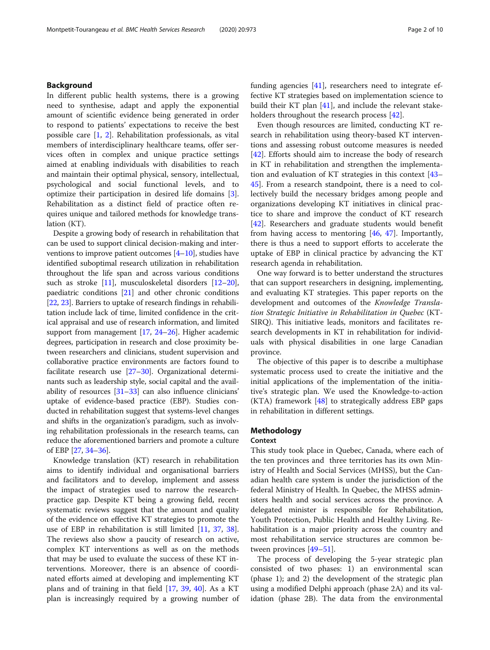#### Background

In different public health systems, there is a growing need to synthesise, adapt and apply the exponential amount of scientific evidence being generated in order to respond to patients' expectations to receive the best possible care [[1,](#page-8-0) [2\]](#page-8-0). Rehabilitation professionals, as vital members of interdisciplinary healthcare teams, offer services often in complex and unique practice settings aimed at enabling individuals with disabilities to reach and maintain their optimal physical, sensory, intellectual, psychological and social functional levels, and to optimize their participation in desired life domains [\[3](#page-8-0)]. Rehabilitation as a distinct field of practice often requires unique and tailored methods for knowledge translation (KT).

Despite a growing body of research in rehabilitation that can be used to support clinical decision-making and interventions to improve patient outcomes  $[4-10]$  $[4-10]$  $[4-10]$  $[4-10]$ , studies have identified suboptimal research utilization in rehabilitation throughout the life span and across various conditions such as stroke [\[11](#page-8-0)], musculoskeletal disorders [\[12](#page-8-0)–[20](#page-8-0)], paediatric conditions [\[21\]](#page-8-0) and other chronic conditions [[22](#page-8-0), [23\]](#page-8-0). Barriers to uptake of research findings in rehabilitation include lack of time, limited confidence in the critical appraisal and use of research information, and limited support from management [[17](#page-8-0), [24](#page-8-0)–[26](#page-8-0)]. Higher academic degrees, participation in research and close proximity between researchers and clinicians, student supervision and collaborative practice environments are factors found to facilitate research use [\[27](#page-8-0)–[30](#page-8-0)]. Organizational determinants such as leadership style, social capital and the availability of resources [\[31](#page-8-0)–[33\]](#page-8-0) can also influence clinicians' uptake of evidence-based practice (EBP). Studies conducted in rehabilitation suggest that systems-level changes and shifts in the organization's paradigm, such as involving rehabilitation professionals in the research teams, can reduce the aforementioned barriers and promote a culture of EBP [\[27](#page-8-0), [34](#page-8-0)–[36\]](#page-9-0).

Knowledge translation (KT) research in rehabilitation aims to identify individual and organisational barriers and facilitators and to develop, implement and assess the impact of strategies used to narrow the researchpractice gap. Despite KT being a growing field, recent systematic reviews suggest that the amount and quality of the evidence on effective KT strategies to promote the use of EBP in rehabilitation is still limited [\[11](#page-8-0), [37](#page-9-0), [38](#page-9-0)]. The reviews also show a paucity of research on active, complex KT interventions as well as on the methods that may be used to evaluate the success of these KT interventions. Moreover, there is an absence of coordinated efforts aimed at developing and implementing KT plans and of training in that field [\[17](#page-8-0), [39,](#page-9-0) [40\]](#page-9-0). As a KT plan is increasingly required by a growing number of funding agencies [[41\]](#page-9-0), researchers need to integrate effective KT strategies based on implementation science to build their KT plan [[41\]](#page-9-0), and include the relevant stakeholders throughout the research process [\[42](#page-9-0)].

Even though resources are limited, conducting KT research in rehabilitation using theory-based KT interventions and assessing robust outcome measures is needed [[42\]](#page-9-0). Efforts should aim to increase the body of research in KT in rehabilitation and strengthen the implementation and evaluation of KT strategies in this context [[43](#page-9-0)– [45\]](#page-9-0). From a research standpoint, there is a need to collectively build the necessary bridges among people and organizations developing KT initiatives in clinical practice to share and improve the conduct of KT research [[42\]](#page-9-0). Researchers and graduate students would benefit from having access to mentoring [\[46,](#page-9-0) [47](#page-9-0)]. Importantly, there is thus a need to support efforts to accelerate the uptake of EBP in clinical practice by advancing the KT research agenda in rehabilitation.

One way forward is to better understand the structures that can support researchers in designing, implementing, and evaluating KT strategies. This paper reports on the development and outcomes of the Knowledge Translation Strategic Initiative in Rehabilitation in Quebec (KT-SIRQ). This initiative leads, monitors and facilitates research developments in KT in rehabilitation for individuals with physical disabilities in one large Canadian province.

The objective of this paper is to describe a multiphase systematic process used to create the initiative and the initial applications of the implementation of the initiative's strategic plan. We used the Knowledge-to-action  $(KTA)$  framework  $[48]$  $[48]$  $[48]$  to strategically address EBP gaps in rehabilitation in different settings.

# Methodology

#### Context

This study took place in Quebec, Canada, where each of the ten provinces and three territories has its own Ministry of Health and Social Services (MHSS), but the Canadian health care system is under the jurisdiction of the federal Ministry of Health. In Quebec, the MHSS administers health and social services across the province. A delegated minister is responsible for Rehabilitation, Youth Protection, Public Health and Healthy Living. Rehabilitation is a major priority across the country and most rehabilitation service structures are common between provinces [\[49](#page-9-0)–[51\]](#page-9-0).

The process of developing the 5-year strategic plan consisted of two phases: 1) an environmental scan (phase 1); and 2) the development of the strategic plan using a modified Delphi approach (phase 2A) and its validation (phase 2B). The data from the environmental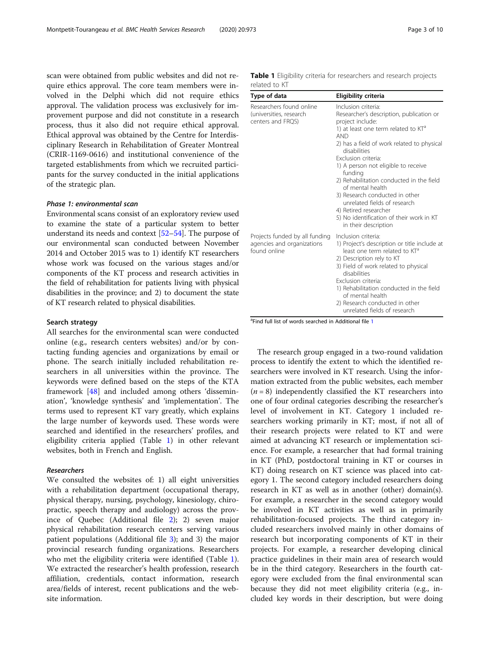scan were obtained from public websites and did not require ethics approval. The core team members were involved in the Delphi which did not require ethics approval. The validation process was exclusively for improvement purpose and did not constitute in a research process, thus it also did not require ethical approval. Ethical approval was obtained by the Centre for Interdisciplinary Research in Rehabilitation of Greater Montreal (CRIR-1169-0616) and institutional convenience of the targeted establishments from which we recruited participants for the survey conducted in the initial applications of the strategic plan.

#### Phase 1: environmental scan

Environmental scans consist of an exploratory review used to examine the state of a particular system to better understand its needs and context [[52](#page-9-0)–[54\]](#page-9-0). The purpose of our environmental scan conducted between November 2014 and October 2015 was to 1) identify KT researchers whose work was focused on the various stages and/or components of the KT process and research activities in the field of rehabilitation for patients living with physical disabilities in the province; and 2) to document the state of KT research related to physical disabilities.

#### Search strategy

All searches for the environmental scan were conducted online (e.g., research centers websites) and/or by contacting funding agencies and organizations by email or phone. The search initially included rehabilitation researchers in all universities within the province. The keywords were defined based on the steps of the KTA framework [[48\]](#page-9-0) and included among others 'dissemination', 'knowledge synthesis' and 'implementation'. The terms used to represent KT vary greatly, which explains the large number of keywords used. These words were searched and identified in the researchers' profiles, and eligibility criteria applied (Table 1) in other relevant websites, both in French and English.

# Researchers

We consulted the websites of: 1) all eight universities with a rehabilitation department (occupational therapy, physical therapy, nursing, psychology, kinesiology, chiropractic, speech therapy and audiology) across the province of Quebec (Additional file [2](#page-7-0)); 2) seven major physical rehabilitation research centers serving various patient populations (Additional file [3\)](#page-7-0); and 3) the major provincial research funding organizations. Researchers who met the eligibility criteria were identified (Table 1). We extracted the researcher's health profession, research affiliation, credentials, contact information, research area/fields of interest, recent publications and the website information.

|               | Table 1 Eligibility criteria for researchers and research projects |  |  |  |
|---------------|--------------------------------------------------------------------|--|--|--|
| related to KT |                                                                    |  |  |  |

| Type of data                                                                 | Eligibility criteria                                                                                                                                                                                                                                                                                                                                                                                                                                                                                                       |
|------------------------------------------------------------------------------|----------------------------------------------------------------------------------------------------------------------------------------------------------------------------------------------------------------------------------------------------------------------------------------------------------------------------------------------------------------------------------------------------------------------------------------------------------------------------------------------------------------------------|
| Researchers found online<br>(universities, research<br>centers and FRQS)     | Inclusion criteria:<br>Researcher's description, publication or<br>project include:<br>1) at least one term related to KT <sup>a</sup><br><b>AND</b><br>2) has a field of work related to physical<br>disabilities<br>Exclusion criteria:<br>1) A person not eligible to receive<br>funding<br>2) Rehabilitation conducted in the field<br>of mental health<br>3) Research conducted in other<br>unrelated fields of research<br>4) Retired researcher<br>5) No identification of their work in KT<br>in their description |
| Projects funded by all funding<br>agencies and organizations<br>found online | Inclusion criteria:<br>1) Project's description or title include at<br>least one term related to KT <sup>a</sup><br>2) Description rely to KT<br>3) Field of work related to physical<br>disabilities<br>Exclusion criteria:<br>1) Rehabilitation conducted in the field<br>of mental health<br>2) Research conducted in other<br>unrelated fields of research                                                                                                                                                             |

<sup>a</sup>Find full list of words searched in Additional file [1](#page-7-0)

The research group engaged in a two-round validation process to identify the extent to which the identified researchers were involved in KT research. Using the information extracted from the public websites, each member  $(n = 8)$  independently classified the KT researchers into one of four ordinal categories describing the researcher's level of involvement in KT. Category 1 included researchers working primarily in KT; most, if not all of their research projects were related to KT and were aimed at advancing KT research or implementation science. For example, a researcher that had formal training in KT (PhD, postdoctoral training in KT or courses in KT) doing research on KT science was placed into category 1. The second category included researchers doing research in KT as well as in another (other) domain(s). For example, a researcher in the second category would be involved in KT activities as well as in primarily rehabilitation-focused projects. The third category included researchers involved mainly in other domains of research but incorporating components of KT in their projects. For example, a researcher developing clinical practice guidelines in their main area of research would be in the third category. Researchers in the fourth category were excluded from the final environmental scan because they did not meet eligibility criteria (e.g., included key words in their description, but were doing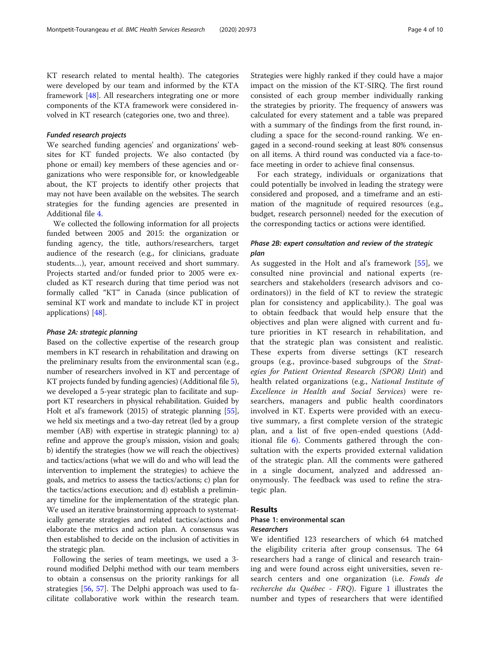KT research related to mental health). The categories were developed by our team and informed by the KTA framework [\[48](#page-9-0)]. All researchers integrating one or more components of the KTA framework were considered involved in KT research (categories one, two and three).

#### Funded research projects

We searched funding agencies' and organizations' websites for KT funded projects. We also contacted (by phone or email) key members of these agencies and organizations who were responsible for, or knowledgeable about, the KT projects to identify other projects that may not have been available on the websites. The search strategies for the funding agencies are presented in Additional file [4](#page-7-0).

We collected the following information for all projects funded between 2005 and 2015: the organization or funding agency, the title, authors/researchers, target audience of the research (e.g., for clinicians, graduate students…), year, amount received and short summary. Projects started and/or funded prior to 2005 were excluded as KT research during that time period was not formally called "KT" in Canada (since publication of seminal KT work and mandate to include KT in project applications) [[48\]](#page-9-0).

#### Phase 2A: strategic planning

Based on the collective expertise of the research group members in KT research in rehabilitation and drawing on the preliminary results from the environmental scan (e.g., number of researchers involved in KT and percentage of KT projects funded by funding agencies) (Additional file [5](#page-7-0)), we developed a 5-year strategic plan to facilitate and support KT researchers in physical rehabilitation. Guided by Holt et al's framework (2015) of strategic planning [[55](#page-9-0)], we held six meetings and a two-day retreat (led by a group member (AB) with expertise in strategic planning) to: a) refine and approve the group's mission, vision and goals; b) identify the strategies (how we will reach the objectives) and tactics/actions (what we will do and who will lead the intervention to implement the strategies) to achieve the goals, and metrics to assess the tactics/actions; c) plan for the tactics/actions execution; and d) establish a preliminary timeline for the implementation of the strategic plan. We used an iterative brainstorming approach to systematically generate strategies and related tactics/actions and elaborate the metrics and action plan. A consensus was then established to decide on the inclusion of activities in the strategic plan.

Following the series of team meetings, we used a 3 round modified Delphi method with our team members to obtain a consensus on the priority rankings for all strategies [\[56](#page-9-0), [57\]](#page-9-0). The Delphi approach was used to facilitate collaborative work within the research team. Strategies were highly ranked if they could have a major impact on the mission of the KT-SIRQ. The first round consisted of each group member individually ranking the strategies by priority. The frequency of answers was calculated for every statement and a table was prepared with a summary of the findings from the first round, including a space for the second-round ranking. We engaged in a second-round seeking at least 80% consensus on all items. A third round was conducted via a face-toface meeting in order to achieve final consensus.

For each strategy, individuals or organizations that could potentially be involved in leading the strategy were considered and proposed, and a timeframe and an estimation of the magnitude of required resources (e.g., budget, research personnel) needed for the execution of the corresponding tactics or actions were identified.

# Phase 2B: expert consultation and review of the strategic plan

As suggested in the Holt and al's framework [\[55](#page-9-0)], we consulted nine provincial and national experts (researchers and stakeholders (research advisors and coordinators)) in the field of KT to review the strategic plan for consistency and applicability.). The goal was to obtain feedback that would help ensure that the objectives and plan were aligned with current and future priorities in KT research in rehabilitation, and that the strategic plan was consistent and realistic. These experts from diverse settings (KT research groups (e.g., province-based subgroups of the Strategies for Patient Oriented Research (SPOR) Unit) and health related organizations (e.g., National Institute of Excellence in Health and Social Services) were researchers, managers and public health coordinators involved in KT. Experts were provided with an executive summary, a first complete version of the strategic plan, and a list of five open-ended questions (Additional file [6\).](#page-7-0) Comments gathered through the consultation with the experts provided external validation of the strategic plan. All the comments were gathered in a single document, analyzed and addressed anonymously. The feedback was used to refine the strategic plan.

### Results

#### Phase 1: environmental scan Researchers

We identified 123 researchers of which 64 matched the eligibility criteria after group consensus. The 64 researchers had a range of clinical and research training and were found across eight universities, seven research centers and one organization (i.e. Fonds de recherche du Québec - FRQ). Figure [1](#page-4-0) illustrates the number and types of researchers that were identified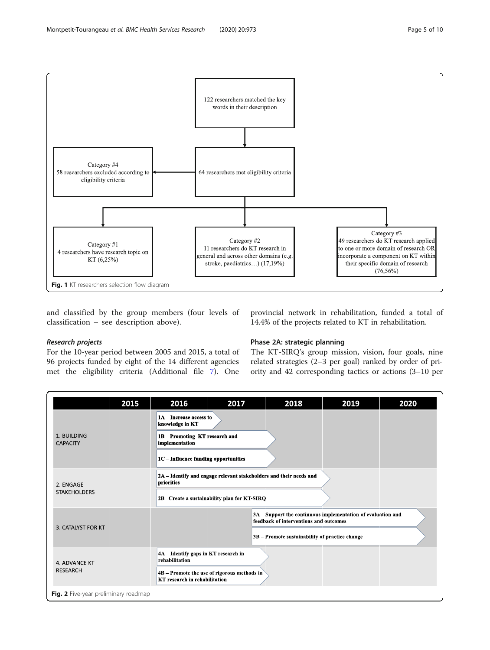<span id="page-4-0"></span>

and classified by the group members (four levels of classification – see description above).

Research projects

For the 10-year period between 2005 and 2015, a total of 96 projects funded by eight of the 14 different agencies met the eligibility criteria (Additional file [7](#page-7-0)). One

# Phase 2A: strategic planning

The KT-SIRQ's group mission, vision, four goals, nine related strategies (2–3 per goal) ranked by order of priority and 42 corresponding tactics or actions (3–10 per

provincial network in rehabilitation, funded a total of 14.4% of the projects related to KT in rehabilitation.

| 2015                                 | 2016                                                                             | 2017 | 2018                                                                                                   | 2019 | 2020 |
|--------------------------------------|----------------------------------------------------------------------------------|------|--------------------------------------------------------------------------------------------------------|------|------|
|                                      | 1A - Increase access to<br>knowledge in KT                                       |      |                                                                                                        |      |      |
| 1. BUILDING<br><b>CAPACITY</b>       | 1B - Promoting KT research and<br>implementation                                 |      |                                                                                                        |      |      |
|                                      | 1C - Influence funding opportunities                                             |      |                                                                                                        |      |      |
| 2. ENGAGE                            | 2A - Identify and engage relevant stakeholders and their needs and<br>priorities |      |                                                                                                        |      |      |
| <b>STAKEHOLDERS</b>                  | 2B-Create a sustainability plan for KT-SIRQ                                      |      |                                                                                                        |      |      |
| 3. CATALYST FOR KT                   |                                                                                  |      | 3A - Support the continuous implementation of evaluation and<br>feedback of interventions and outcomes |      |      |
|                                      |                                                                                  |      | 3B - Promote sustainability of practice change                                                         |      |      |
| 4. ADVANCE KT                        | 4A - Identify gaps in KT research in<br>rehabilitation                           |      |                                                                                                        |      |      |
| <b>RESEARCH</b>                      | $4B -$ Promote the use of rigorous methods in<br>KT research in rehabilitation   |      |                                                                                                        |      |      |
| Fig. 2 Five-year preliminary roadmap |                                                                                  |      |                                                                                                        |      |      |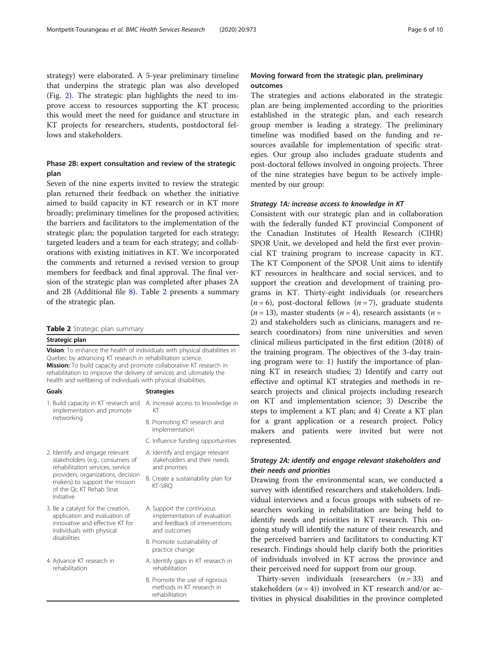strategy) were elaborated. A 5-year preliminary timeline that underpins the strategic plan was also developed (Fig. [2](#page-4-0)). The strategic plan highlights the need to improve access to resources supporting the KT process; this would meet the need for guidance and structure in KT projects for researchers, students, postdoctoral fellows and stakeholders.

# Phase 2B: expert consultation and review of the strategic plan

Seven of the nine experts invited to review the strategic plan returned their feedback on whether the initiative aimed to build capacity in KT research or in KT more broadly; preliminary timelines for the proposed activities; the barriers and facilitators to the implementation of the strategic plan; the population targeted for each strategy; targeted leaders and a team for each strategy; and collaborations with existing initiatives in KT. We incorporated the comments and returned a revised version to group members for feedback and final approval. The final version of the strategic plan was completed after phases 2A and 2B (Additional file [8\)](#page-7-0). Table 2 presents a summary of the strategic plan.

Table 2 Strategic plan summary

#### Strategic plan Vision: To enhance the health of individuals with physical disabilities in Quebec by advancing KT research in rehabilitation science. Mission: To build capacity and promote collaborative KT research in rehabilitation to improve the delivery of services and ultimately the health and wellbeing of individuals with physical disabilities. Goals **Strategies** 1. Build capacity in KT research and implementation and promote networking A. Increase access to knowledge in KT B. Promoting KT research and implementation C. Influence funding opportunities 2. Identify and engage relevant stakeholders (e.g., consumers of rehabilitation services, service providers, organizations, decision makers) to support the mission of the Qc KT Rehab Strat Initiative A. Identify and engage relevant stakeholders and their needs and priorities B. Create a sustainability plan for KT-SIRQ 3. Be a catalyst for the creation, application and evaluation of innovative and effective KT for individuals with physical A. Support the continuous implementation of evaluation and feedback of interventions

4. Advance KT research in rehabilitation

disabilities

- and outcomes
- B. Promote sustainability of practice change
- A. Identify gaps in KT research in rehabilitation
- B. Promote the use of rigorous methods in KT research in rehabilitation

## Moving forward from the strategic plan, preliminary outcomes

The strategies and actions elaborated in the strategic plan are being implemented according to the priorities established in the strategic plan, and each research group member is leading a strategy. The preliminary timeline was modified based on the funding and resources available for implementation of specific strategies. Our group also includes graduate students and post-doctoral fellows involved in ongoing projects. Three of the nine strategies have begun to be actively implemented by our group:

#### Strategy 1A: increase access to knowledge in KT

Consistent with our strategic plan and in collaboration with the federally funded KT provincial Component of the Canadian Institutes of Health Research (CIHR) SPOR Unit, we developed and held the first ever provincial KT training program to increase capacity in KT. The KT Component of the SPOR Unit aims to identify KT resources in healthcare and social services, and to support the creation and development of training programs in KT. Thirty-eight individuals (or researchers  $(n = 6)$ , post-doctoral fellows  $(n = 7)$ , graduate students  $(n = 13)$ , master students  $(n = 4)$ , research assistants  $(n = 13)$ 2) and stakeholders such as clinicians, managers and research coordinators) from nine universities and seven clinical milieus participated in the first edition (2018) of the training program. The objectives of the 3-day training program were to: 1) Justify the importance of planning KT in research studies; 2) Identify and carry out effective and optimal KT strategies and methods in research projects and clinical projects including research on KT and implementation science; 3) Describe the steps to implement a KT plan; and 4) Create a KT plan for a grant application or a research project. Policy makers and patients were invited but were not represented.

## Strategy 2A: identify and engage relevant stakeholders and their needs and priorities

Drawing from the environmental scan, we conducted a survey with identified researchers and stakeholders. Individual interviews and a focus groups with subsets of researchers working in rehabilitation are being held to identify needs and priorities in KT research. This ongoing study will identify the nature of their research, and the perceived barriers and facilitators to conducting KT research. Findings should help clarify both the priorities of individuals involved in KT across the province and their perceived need for support from our group.

Thirty-seven individuals (researchers  $(n = 33)$  and stakeholders  $(n = 4)$ ) involved in KT research and/or activities in physical disabilities in the province completed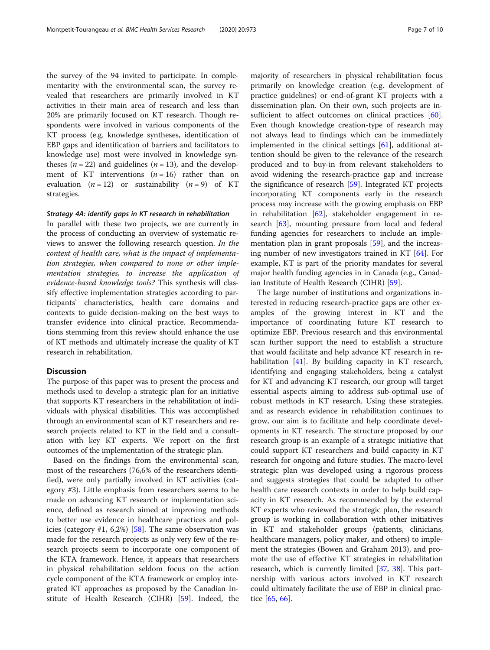the survey of the 94 invited to participate. In complementarity with the environmental scan, the survey revealed that researchers are primarily involved in KT activities in their main area of research and less than 20% are primarily focused on KT research. Though respondents were involved in various components of the KT process (e.g. knowledge syntheses, identification of EBP gaps and identification of barriers and facilitators to knowledge use) most were involved in knowledge syntheses ( $n = 22$ ) and guidelines ( $n = 13$ ), and the development of KT interventions  $(n = 16)$  rather than on evaluation  $(n = 12)$  or sustainability  $(n = 9)$  of KT strategies.

#### Strategy 4A: identify gaps in KT research in rehabilitation

In parallel with these two projects, we are currently in the process of conducting an overview of systematic reviews to answer the following research question. In the context of health care, what is the impact of implementation strategies, when compared to none or other implementation strategies, to increase the application of evidence-based knowledge tools? This synthesis will classify effective implementation strategies according to participants' characteristics, health care domains and contexts to guide decision-making on the best ways to transfer evidence into clinical practice. Recommendations stemming from this review should enhance the use of KT methods and ultimately increase the quality of KT research in rehabilitation.

# **Discussion**

The purpose of this paper was to present the process and methods used to develop a strategic plan for an initiative that supports KT researchers in the rehabilitation of individuals with physical disabilities. This was accomplished through an environmental scan of KT researchers and research projects related to KT in the field and a consultation with key KT experts. We report on the first outcomes of the implementation of the strategic plan.

Based on the findings from the environmental scan, most of the researchers (76,6% of the researchers identified), were only partially involved in KT activities (category #3). Little emphasis from researchers seems to be made on advancing KT research or implementation science, defined as research aimed at improving methods to better use evidence in healthcare practices and policies (category #1, 6,2%)  $[58]$  $[58]$  $[58]$ . The same observation was made for the research projects as only very few of the research projects seem to incorporate one component of the KTA framework. Hence, it appears that researchers in physical rehabilitation seldom focus on the action cycle component of the KTA framework or employ integrated KT approaches as proposed by the Canadian Institute of Health Research (CIHR) [[59](#page-9-0)]. Indeed, the

majority of researchers in physical rehabilitation focus primarily on knowledge creation (e.g. development of practice guidelines) or end-of-grant KT projects with a dissemination plan. On their own, such projects are in-sufficient to affect outcomes on clinical practices [\[60](#page-9-0)]. Even though knowledge creation-type of research may not always lead to findings which can be immediately implemented in the clinical settings [\[61](#page-9-0)], additional attention should be given to the relevance of the research produced and to buy-in from relevant stakeholders to avoid widening the research-practice gap and increase the significance of research [\[59\]](#page-9-0). Integrated KT projects incorporating KT components early in the research process may increase with the growing emphasis on EBP in rehabilitation [[62\]](#page-9-0), stakeholder engagement in research [[63\]](#page-9-0), mounting pressure from local and federal funding agencies for researchers to include an imple-mentation plan in grant proposals [[59\]](#page-9-0), and the increasing number of new investigators trained in KT [\[64\]](#page-9-0). For example, KT is part of the priority mandates for several major health funding agencies in in Canada (e.g., Canadian Institute of Health Research (CIHR) [[59\]](#page-9-0).

The large number of institutions and organizations interested in reducing research-practice gaps are other examples of the growing interest in KT and the importance of coordinating future KT research to optimize EBP. Previous research and this environmental scan further support the need to establish a structure that would facilitate and help advance KT research in re-habilitation [\[41](#page-9-0)]. By building capacity in KT research, identifying and engaging stakeholders, being a catalyst for KT and advancing KT research, our group will target essential aspects aiming to address sub-optimal use of robust methods in KT research. Using these strategies, and as research evidence in rehabilitation continues to grow, our aim is to facilitate and help coordinate developments in KT research. The structure proposed by our research group is an example of a strategic initiative that could support KT researchers and build capacity in KT research for ongoing and future studies. The macro-level strategic plan was developed using a rigorous process and suggests strategies that could be adapted to other health care research contexts in order to help build capacity in KT research. As recommended by the external KT experts who reviewed the strategic plan, the research group is working in collaboration with other initiatives in KT and stakeholder groups (patients, clinicians, healthcare managers, policy maker, and others) to implement the strategies (Bowen and Graham 2013), and promote the use of effective KT strategies in rehabilitation research, which is currently limited [[37,](#page-9-0) [38\]](#page-9-0). This partnership with various actors involved in KT research could ultimately facilitate the use of EBP in clinical practice [\[65](#page-9-0), [66](#page-9-0)].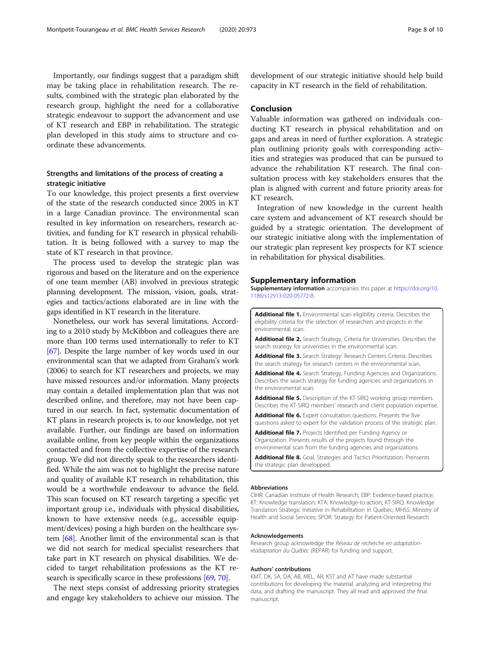<span id="page-7-0"></span>Importantly, our findings suggest that a paradigm shift may be taking place in rehabilitation research. The results, combined with the strategic plan elaborated by the research group, highlight the need for a collaborative strategic endeavour to support the advancement and use of KT research and EBP in rehabilitation. The strategic plan developed in this study aims to structure and coordinate these advancements.

# Strengths and limitations of the process of creating a strategic initiative

To our knowledge, this project presents a first overview of the state of the research conducted since 2005 in KT in a large Canadian province. The environmental scan resulted in key information on researchers, research activities, and funding for KT research in physical rehabilitation. It is being followed with a survey to map the state of KT research in that province.

The process used to develop the strategic plan was rigorous and based on the literature and on the experience of one team member (AB) involved in previous strategic planning development. The mission, vision, goals, strategies and tactics/actions elaborated are in line with the gaps identified in KT research in the literature.

Nonetheless, our work has several limitations. According to a 2010 study by McKibbon and colleagues there are more than 100 terms used internationally to refer to KT [[67](#page-9-0)]. Despite the large number of key words used in our environmental scan that we adapted from Graham's work (2006) to search for KT researchers and projects, we may have missed resources and/or information. Many projects may contain a detailed implementation plan that was not described online, and therefore, may not have been captured in our search. In fact, systematic documentation of KT plans in research projects is, to our knowledge, not yet available. Further, our findings are based on information available online, from key people within the organizations contacted and from the collective expertise of the research group. We did not directly speak to the researchers identified. While the aim was not to highlight the precise nature and quality of available KT research in rehabilitation, this would be a worthwhile endeavour to advance the field. This scan focused on KT research targeting a specific yet important group i.e., individuals with physical disabilities, known to have extensive needs (e.g., accessible equipment/devices) posing a high burden on the healthcare system [[68](#page-9-0)]. Another limit of the environmental scan is that we did not search for medical specialist researchers that take part in KT research on physical disabilities. We decided to target rehabilitation professions as the KT research is specifically scarce in these professions [[69](#page-9-0), [70\]](#page-9-0).

The next steps consist of addressing priority strategies and engage key stakeholders to achieve our mission. The

development of our strategic initiative should help build capacity in KT research in the field of rehabilitation.

# Conclusion

Valuable information was gathered on individuals conducting KT research in physical rehabilitation and on gaps and areas in need of further exploration. A strategic plan outlining priority goals with corresponding activities and strategies was produced that can be pursued to advance the rehabilitation KT research. The final consultation process with key stakeholders ensures that the plan is aligned with current and future priority areas for KT research.

Integration of new knowledge in the current health care system and advancement of KT research should be guided by a strategic orientation. The development of our strategic initiative along with the implementation of our strategic plan represent key prospects for KT science in rehabilitation for physical disabilities.

#### Supplementary information

Supplementary information accompanies this paper at [https://doi.org/10.](https://doi.org/10.1186/s12913-020-05772-8) [1186/s12913-020-05772-8](https://doi.org/10.1186/s12913-020-05772-8).

Additional file 1. Environmental scan eligibility criteria. Describes the eligibility criteria for the selection of researchers and projects in the environmental scan.

Additional file 2. Search Strategy, Criteria for Universities. Describes the search strategy for univeristies in the environmental scan.

Additional file 3. Search Strategy: Research Centers Criteria. Describes the search strategy for research centers in the environmental scan.

Additional file 4. Search Strategy, Funding Agencies and Organizations. Describes the search strategy for funding agencies and organizations in the environmental scan.

Additional file 5. Description of the KT-SIRQ working group members. Describes the KT-SIRQ members' research and client population expertise.

Additional file 6. Expert consultation questions. Presents the five questions asked to expert for the validation process of the strategic plan.

Additional file 7. Projects Identified per Funding Agency or Organization. Presents results of the projects found through the environmental scan from the funding agencies and organizations.

Additional file 8. Goal, Strategies and Tactics Prioritization. Prensents the strategic plan developped.

#### Abbreviations

CIHR: Canadian Institute of Health Research; EBP: Evidence-based practice; KT: Knowledge translation; KTA: Knowledge-to-action; KT-SIRQ: Knowledge Translation Strategic Initiative in Rehabilitation in Quebec; MHSS: Ministry of Health and Social Services; SPOR: Strategy for Patient-Oriented Research

#### Acknowledgements

Research group acknowledge the Réseau de recherche en adaptationréadaptation du Québec (REPAR) for funding and support.

#### Authors' contributions

KMT, DK, SA, DA, AB, MEL, AR, KST and AT have made substantial contributions for developing the material, analyzing and interpreting the data, and drafting the manuscript. They all read and approved the final manuscript.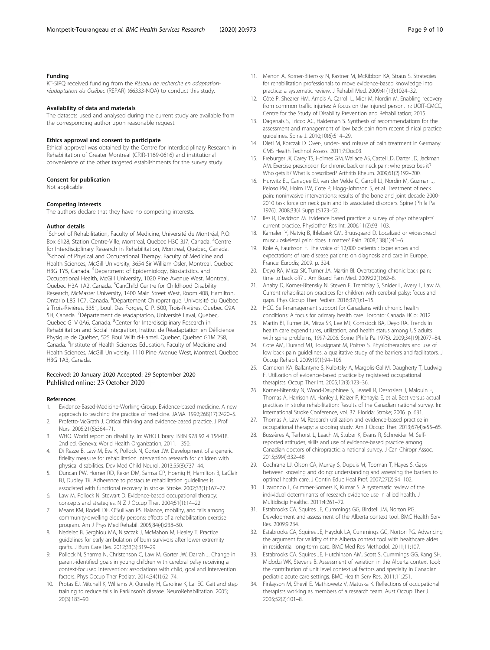#### <span id="page-8-0"></span>Funding

KT-SIRQ received funding from the Réseau de recherche en adaptationréadaptation du Québec (REPAR) (66333-NOA) to conduct this study.

#### Availability of data and materials

The datasets used and analysed during the current study are available from the corresponding author upon reasonable request.

#### Ethics approval and consent to participate

Ethical approval was obtained by the Centre for Interdisciplinary Research in Rehabilitation of Greater Montreal (CRIR-1169-0616) and institutional convenience of the other targeted establishments for the survey study.

#### Consent for publication

Not applicable.

#### Competing interests

The authors declare that they have no competing interests.

#### Author details

<sup>1</sup>School of Rehabilitation, Faculty of Medicine, Université de Montréal, P.O. Box 6128, Station Centre-Ville, Montreal, Quebec H3C 3J7, Canada. <sup>2</sup>Centre for Interdisciplinary Research in Rehabilitation, Montreal, Quebec, Canada. <sup>3</sup>School of Physical and Occupational Therapy, Faculty of Medicine and Health Sciences, McGill University, 3654 Sir William Osler, Montreal, Quebec H3G 1Y5, Canada. <sup>4</sup>Department of Epidemiology, Biostatistics, and Occupational Health, McGill University, 1020 Pine Avenue West, Montreal, Quebec H3A 1A2, Canada. <sup>5</sup>CanChild Centre for Childhood Disability Research, McMaster University, 1400 Main Street West, Room 408, Hamilton, Ontario L8S 1C7, Canada. <sup>6</sup>Département Chiropratique, Université du Québec à Trois-Rivières, 3351, boul. Des Forges, C. P. 500, Trois-Rivières, Quebec G9A 5H, Canada. <sup>7</sup>Département de réadaptation, Université Laval, Quebec, Quebec G1V 0A6, Canada. <sup>8</sup>Center for Interdisciplinary Research in Rehabilitation and Social Integration, Institut de Réadaptation en Déficience Physique de Québec, 525 Boul Wilfrid-Hamel, Quebec, Quebec G1M 2S8, Canada. <sup>9</sup>Institute of Health Sciences Education, Faculty of Medicine and Health Sciences, McGill University, 1110 Pine Avenue West, Montreal, Quebec H3G 1A3, Canada.

# Received: 20 January 2020 Accepted: 29 September 2020

#### References

- 1. Evidence-Based-Medicine-Working-Group. Evidence-based medicine. A new approach to teaching the practice of medicine. JAMA. 1992;268(17):2420–5.
- 2. Profetto-McGrath J. Critical thinking and evidence-based practice. J Prof Nurs. 2005;21(6):364–71.
- 3. WHO. World report on disability. In: WHO Library. ISBN 978 92 4 156418. 2nd ed. Geneva: World Health Organization; 2011. –350.
- 4. Di Rezze B, Law M, Eva K, Pollock N, Gorter JW. Development of a generic fidelity measure for rehabilitation intervention research for children with physical disabilities. Dev Med Child Neurol. 2013;55(8):737–44.
- 5. Duncan PW, Horner RD, Reker DM, Samsa GP, Hoenig H, Hamilton B, LaClair BJ, Dudley TK. Adherence to postacute rehabilitation guidelines is associated with functional recovery in stroke. Stroke. 2002;33(1):167–77.
- 6. Law M, Pollock N, Stewart D. Evidence-based occupational therapy: concepts and strategies. N Z J Occup Ther. 2004;51(1):14–22.
- 7. Means KM, Rodell DE, O'Sullivan PS. Balance, mobility, and falls among community-dwelling elderly persons: effects of a rehabilitation exercise program. Am J Phys Med Rehabil. 2005;84(4):238–50.
- Nedelec B, Serghiou MA, Niszczak J, McMahon M, Healey T. Practice guidelines for early ambulation of burn survivors after lower extremity grafts. J Burn Care Res. 2012;33(3):319–29.
- 9. Pollock N, Sharma N, Christenson C, Law M, Gorter JW, Darrah J. Change in parent-identified goals in young children with cerebral palsy receiving a context-focused intervention: associations with child, goal and intervention factors. Phys Occup Ther Pediatr. 2014;34(1):62–74.
- 10. Protas EJ, Mitchell K, Williams A, Qureshy H, Caroline K, Lai EC. Gait and step training to reduce falls in Parkinson's disease. NeuroRehabilitation. 2005; 20(3):183–90.
- 11. Menon A, Korner-Bitensky N, Kastner M, McKibbon KA, Straus S. Strategies for rehabilitation professionals to move evidence-based knowledge into practice: a systematic review. J Rehabil Med. 2009;41(13):1024–32.
- 12. Côté P, Shearer HM, Ameis A, Carroll L, Mior M, Nordin M. Enabling recovery from common traffic injuries: A focus on the injured person. In: UOIT-CMCC, Centre for the Study of Disability Prevention and Rehabilitation; 2015.
- 13. Dagenais S, Tricco AC, Haldeman S. Synthesis of recommendations for the assessment and management of low back pain from recent clinical practice guidelines. Spine J. 2010;10(6):514–29.
- 14. Dietl M, Korczak D. Over-, under- and misuse of pain treatment in Germany. GMS Health Technol Assess. 2011;7:Doc03.
- 15. Freburger JK, Carey TS, Holmes GM, Wallace AS, Castel LD, Darter JD, Jackman AM. Exercise prescription for chronic back or neck pain: who prescribes it? Who gets it? What is prescribed? Arthritis Rheum. 2009;61(2):192–200.
- 16. Hurwitz EL, Carragee EJ, van der Velde G, Carroll LJ, Nordin M, Guzman J, Peloso PM, Holm LW, Cote P, Hogg-Johnson S, et al. Treatment of neck pain: noninvasive interventions: results of the bone and joint decade 2000- 2010 task force on neck pain and its associated disorders. Spine (Phila Pa 1976). 2008;33(4 Suppl):S123–52.
- 17. Iles R, Davidson M. Evidence based practice: a survey of physiotherapists' current practice. Physiother Res Int. 2006;11(2):93–103.
- 18. Kamaleri Y, Natvig B, Ihlebaek CM, Bruusgaard D. Localized or widespread musculoskeletal pain: does it matter? Pain. 2008;138(1):41–6.
- 19. Kole A, Faurisson F. The voice of 12,000 patients : Experiences and expectations of rare disease patients on diagnosis and care in Europe. France: Eurodis; 2009. p. 324.
- 20. Deyo RA, Mirza SK, Turner JA, Martin BI. Overtreating chronic back pain: time to back off? J Am Board Fam Med. 2009;22(1):62–8.
- 21. Anaby D, Korner-Bitensky N, Steven E, Tremblay S, Snider L, Avery L, Law M. Current rehabilitation practices for children with cerebral palsy: focus and gaps. Phys Occup Ther Pediatr. 2016;37(1):1–15.
- 22. HCC. Self-management support for Canadians with chronic health conditions: A focus for primary health care. Toronto: Canada HCo; 2012.
- 23. Martin BI, Turner JA, Mirza SK, Lee MJ, Comstock BA, Deyo RA. Trends in health care expenditures, utilization, and health status among US adults with spine problems, 1997-2006. Spine (Phila Pa 1976). 2009;34(19):2077–84.
- 24. Cote AM, Durand MJ, Tousignant M, Poitras S. Physiotherapists and use of low back pain guidelines: a qualitative study of the barriers and facilitators. J Occup Rehabil. 2009;19(1):94–105.
- 25. Cameron KA, Ballantyne S, Kulbitsky A, Margolis-Gal M, Daugherty T, Ludwig F. Utilization of evidence-based practice by registered occupational therapists. Occup Ther Int. 2005;12(3):123–36.
- 26. Korner-Bitensky N, Wood-Dauphinee S, Teasell R, Desrosiers J, Malouin F, Thomas A, Harrison M, Hanley J, Kaizer F, Kehayia E, et al. Best versus actual practices in stroke rehabilitation: Results of the Canadian national survey. In: International Stroke Conference, vol. 37. Florida: Stroke; 2006. p. 631.
- 27. Thomas A, Law M. Research utilization and evidence-based practice in occupational therapy: a scoping study. Am J Occup Ther. 2013;67(4):e55–65.
- 28. Bussières A, Terhorst L, Leach M, Stuber K, Evans R, Schneider M. Selfreported attitudes, skills and use of evidence-based practice among Canadian doctors of chiropractic: a national survey. J Can Chiropr Assoc. 2015;59(4):332–48.
- 29. Cochrane LJ, Olson CA, Murray S, Dupuis M, Tooman T, Hayes S. Gaps between knowing and doing: understanding and assessing the barriers to optimal health care. J Contin Educ Heal Prof. 2007;27(2):94–102.
- 30. Lizarondo L, Grimmer-Somers K, Kumar S. A systematic review of the individual determinants of research evidence use in allied health. J Multidiscip Healthc. 2011;4:261–72.
- 31. Estabrooks CA, Squires JE, Cummings GG, Birdsell JM, Norton PG. Development and assessment of the Alberta context tool. BMC Health Serv Res. 2009;9:234.
- 32. Estabrooks CA, Squires JE, Hayduk LA, Cummings GG, Norton PG. Advancing the argument for validity of the Alberta context tool with healthcare aides in residential long-term care. BMC Med Res Methodol. 2011;11:107.
- 33. Estabrooks CA, Squires JE, Hutchinson AM, Scott S, Cummings GG, Kang SH, Midodzi WK, Stevens B. Assessment of variation in the Alberta context tool: the contribution of unit level contextual factors and specialty in Canadian pediatric acute care settings. BMC Health Serv Res. 2011;11:251.
- 34. Finlayson M, Shevil E, Mathiowetz V, Matuska K. Reflections of occupational therapists working as members of a research team. Aust Occup Ther J. 2005;52(2):101–8.